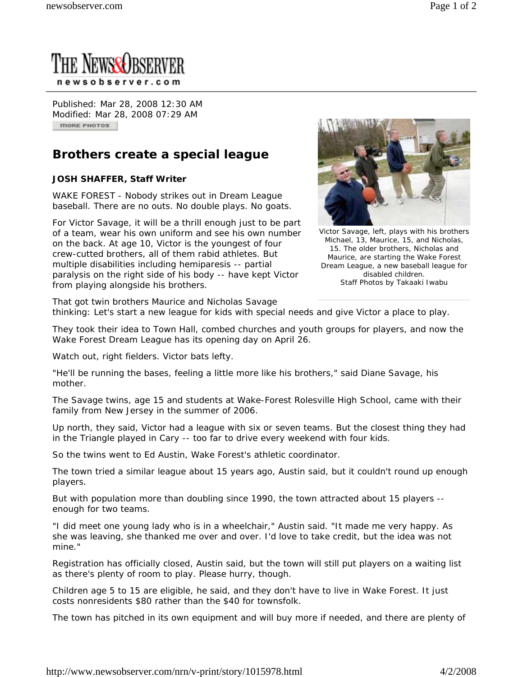

Published: Mar 28, 2008 12:30 AM Modified: Mar 28, 2008 07:29 AM **MORE PHOTOS** 

## **Brothers create a special league**

## **JOSH SHAFFER, Staff Writer**

WAKE FOREST - Nobody strikes out in Dream League baseball. There are no outs. No double plays. No goats.

For Victor Savage, it will be a thrill enough just to be part of a team, wear his own uniform and see his own number on the back. At age 10, Victor is the youngest of four crew-cutted brothers, all of them rabid athletes. But multiple disabilities including hemiparesis -- partial paralysis on the right side of his body -- have kept Victor from playing alongside his brothers.



Victor Savage, left, plays with his brothers Michael, 13, Maurice, 15, and Nicholas, 15. The older brothers, Nicholas and Maurice, are starting the Wake Forest Dream League, a new baseball league for disabled children. Staff Photos by Takaaki Iwabu

That got twin brothers Maurice and Nicholas Savage thinking: Let's start a new league for kids with special needs and give Victor a place to play.

They took their idea to Town Hall, combed churches and youth groups for players, and now the Wake Forest Dream League has its opening day on April 26.

Watch out, right fielders. Victor bats lefty.

"He'll be running the bases, feeling a little more like his brothers," said Diane Savage, his mother.

The Savage twins, age 15 and students at Wake-Forest Rolesville High School, came with their family from New Jersey in the summer of 2006.

Up north, they said, Victor had a league with six or seven teams. But the closest thing they had in the Triangle played in Cary -- too far to drive every weekend with four kids.

So the twins went to Ed Austin, Wake Forest's athletic coordinator.

The town tried a similar league about 15 years ago, Austin said, but it couldn't round up enough players.

But with population more than doubling since 1990, the town attracted about 15 players - enough for two teams.

"I did meet one young lady who is in a wheelchair," Austin said. "It made me very happy. As she was leaving, she thanked me over and over. I'd love to take credit, but the idea was not mine."

Registration has officially closed, Austin said, but the town will still put players on a waiting list as there's plenty of room to play. Please hurry, though.

Children age 5 to 15 are eligible, he said, and they don't have to live in Wake Forest. It just costs nonresidents \$80 rather than the \$40 for townsfolk.

The town has pitched in its own equipment and will buy more if needed, and there are plenty of